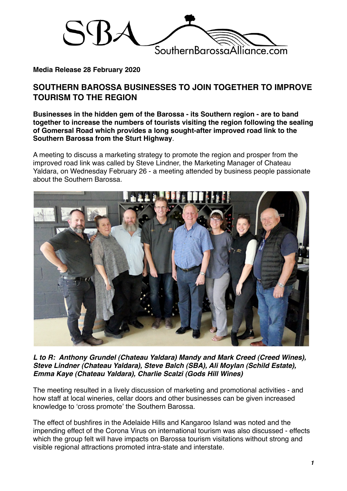

## **Media Release 28 February 2020**

## **SOUTHERN BAROSSA BUSINESSES TO JOIN TOGETHER TO IMPROVE TOURISM TO THE REGION**

**Businesses in the hidden gem of the Barossa - its Southern region - are to band together to increase the numbers of tourists visiting the region following the sealing of Gomersal Road which provides a long sought-after improved road link to the Southern Barossa from the Sturt Highway**.

A meeting to discuss a marketing strategy to promote the region and prosper from the improved road link was called by Steve Lindner, the Marketing Manager of Chateau Yaldara, on Wednesday February 26 - a meeting attended by business people passionate about the Southern Barossa.



*L to R: Anthony Grundel (Chateau Yaldara) Mandy and Mark Creed (Creed Wines), Steve Lindner (Chateau Yaldara), Steve Balch (SBA), Ali Moylan (Schild Estate), Emma Kaye (Chateau Yaldara), Charlie Scalzi (Gods Hill Wines)*

The meeting resulted in a lively discussion of marketing and promotional activities - and how staff at local wineries, cellar doors and other businesses can be given increased knowledge to ʻcross promote' the Southern Barossa.

The effect of bushfires in the Adelaide Hills and Kangaroo Island was noted and the impending effect of the Corona Virus on international tourism was also discussed - effects which the group felt will have impacts on Barossa tourism visitations without strong and visible regional attractions promoted intra-state and interstate.